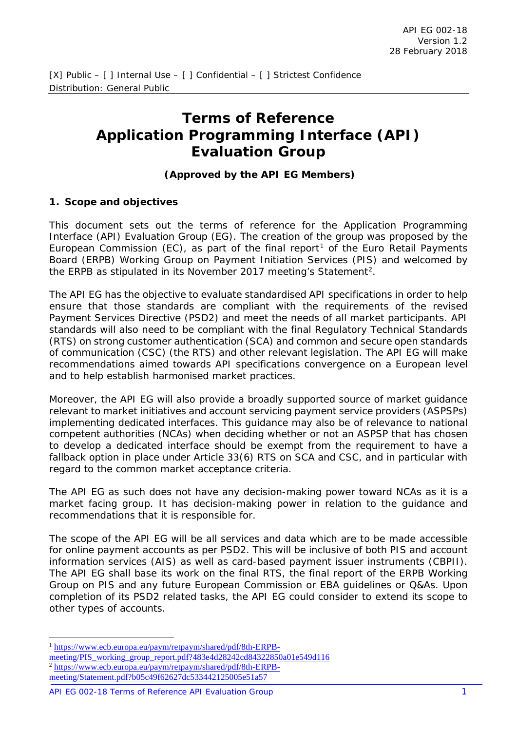# **Terms of Reference Application Programming Interface (API) Evaluation Group**

## **(Approved by the API EG Members)**

#### **1. Scope and objectives**

This document sets out the terms of reference for the Application Programming Interface (API) Evaluation Group (EG). The creation of the group was proposed by the European Commission (EC), as part of the final report<sup>[1](#page-0-0)</sup> of the Euro Retail Payments Board (ERPB) Working Group on Payment Initiation Services (PIS) and welcomed by the ERPB as stipulated in its November [2](#page-0-1)017 meeting's Statement<sup>2</sup>.

The API EG has the objective to evaluate standardised API specifications in order to help ensure that those standards are compliant with the requirements of the revised Payment Services Directive (PSD2) and meet the needs of all market participants. API standards will also need to be compliant with the final Regulatory Technical Standards (RTS) on strong customer authentication (SCA) and common and secure open standards of communication (CSC) (the RTS) and other relevant legislation. The API EG will make recommendations aimed towards API specifications convergence on a European level and to help establish harmonised market practices.

Moreover, the API EG will also provide a broadly supported source of market guidance relevant to market initiatives and account servicing payment service providers (ASPSPs) implementing dedicated interfaces. This guidance may also be of relevance to national competent authorities (NCAs) when deciding whether or not an ASPSP that has chosen to develop a dedicated interface should be exempt from the requirement to have a fallback option in place under Article 33(6) RTS on SCA and CSC, and in particular with regard to the common market acceptance criteria.

The API EG as such does not have any decision-making power toward NCAs as it is a market facing group. It has decision-making power in relation to the guidance and recommendations that it is responsible for.

The scope of the API EG will be all services and data which are to be made accessible for online payment accounts as per PSD2. This will be inclusive of both PIS and account information services (AIS) as well as card-based payment issuer instruments (CBPII). The API EG shall base its work on the final RTS, the final report of the ERPB Working Group on PIS and any future European Commission or EBA guidelines or Q&As. Upon completion of its PSD2 related tasks, the API EG could consider to extend its scope to other types of accounts.

<span id="page-0-0"></span> <sup>1</sup> [https://www.ecb.europa.eu/paym/retpaym/shared/pdf/8th-ERPB-](https://www.ecb.europa.eu/paym/retpaym/shared/pdf/8th-ERPB-meeting/PIS_working_group_report.pdf?483e4d28242cd84322850a01e549d116)

<span id="page-0-1"></span>meeting/PIS working group report.pdf?483e4d28242cd84322850a01e549d116 <sup>2</sup> [https://www.ecb.europa.eu/paym/retpaym/shared/pdf/8th-ERPB](https://www.ecb.europa.eu/paym/retpaym/shared/pdf/8th-ERPB-meeting/Statement.pdf?b05c49f62627dc533442125005e51a57)[meeting/Statement.pdf?b05c49f62627dc533442125005e51a57](https://www.ecb.europa.eu/paym/retpaym/shared/pdf/8th-ERPB-meeting/Statement.pdf?b05c49f62627dc533442125005e51a57)

API EG 002-18 Terms of Reference API Evaluation Group 1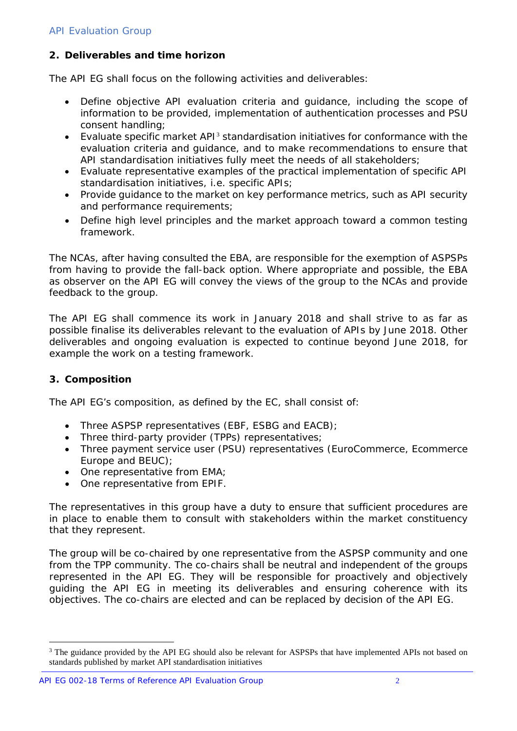# **2. Deliverables and time horizon**

The API EG shall focus on the following activities and deliverables:

- Define objective API evaluation criteria and guidance, including the scope of information to be provided, implementation of authentication processes and PSU consent handling;
- Evaluate specific market API[3](#page-1-0) standardisation initiatives for conformance with the evaluation criteria and guidance, and to make recommendations to ensure that API standardisation initiatives fully meet the needs of all stakeholders;
- Evaluate representative examples of the practical implementation of specific API standardisation initiatives, i.e. specific APIs;
- Provide guidance to the market on key performance metrics, such as API security and performance requirements;
- Define high level principles and the market approach toward a common testing framework.

The NCAs, after having consulted the EBA, are responsible for the exemption of ASPSPs from having to provide the fall-back option. Where appropriate and possible, the EBA as observer on the API EG will convey the views of the group to the NCAs and provide feedback to the group.

The API EG shall commence its work in January 2018 and shall strive to as far as possible finalise its deliverables relevant to the evaluation of APIs by June 2018. Other deliverables and ongoing evaluation is expected to continue beyond June 2018, for example the work on a testing framework.

### **3. Composition**

The API EG's composition, as defined by the EC, shall consist of:

- Three ASPSP representatives (EBF, ESBG and EACB);
- Three third-party provider (TPPs) representatives;
- Three payment service user (PSU) representatives (EuroCommerce, Ecommerce Europe and BEUC);
- One representative from EMA;
- One representative from EPIF.

The representatives in this group have a duty to ensure that sufficient procedures are in place to enable them to consult with stakeholders within the market constituency that they represent.

The group will be co-chaired by one representative from the ASPSP community and one from the TPP community. The co-chairs shall be neutral and independent of the groups represented in the API EG. They will be responsible for proactively and objectively guiding the API EG in meeting its deliverables and ensuring coherence with its objectives. The co-chairs are elected and can be replaced by decision of the API EG.

<span id="page-1-0"></span><sup>&</sup>lt;sup>3</sup> The guidance provided by the API EG should also be relevant for ASPSPs that have implemented APIs not based on standards published by market API standardisation initiatives